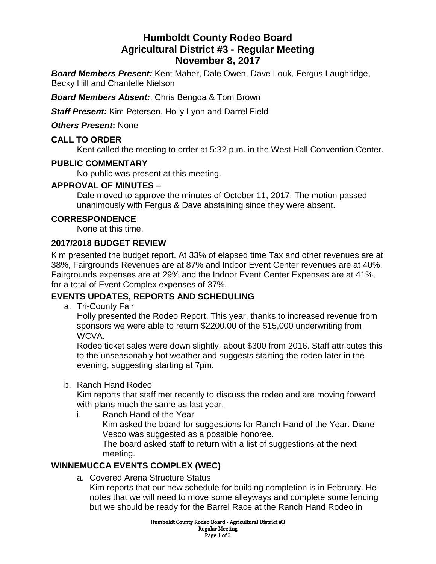# **Humboldt County Rodeo Board Agricultural District #3 - Regular Meeting November 8, 2017**

*Board Members Present:* Kent Maher, Dale Owen, Dave Louk, Fergus Laughridge, Becky Hill and Chantelle Nielson

*Board Members Absent:*, Chris Bengoa & Tom Brown

*Staff Present:* Kim Petersen, Holly Lyon and Darrel Field

*Others Present***:** None

### **CALL TO ORDER**

Kent called the meeting to order at 5:32 p.m. in the West Hall Convention Center.

## **PUBLIC COMMENTARY**

No public was present at this meeting.

## **APPROVAL OF MINUTES –**

Dale moved to approve the minutes of October 11, 2017. The motion passed unanimously with Fergus & Dave abstaining since they were absent.

## **CORRESPONDENCE**

None at this time.

## **2017/2018 BUDGET REVIEW**

Kim presented the budget report. At 33% of elapsed time Tax and other revenues are at 38%, Fairgrounds Revenues are at 87% and Indoor Event Center revenues are at 40%. Fairgrounds expenses are at 29% and the Indoor Event Center Expenses are at 41%, for a total of Event Complex expenses of 37%.

## **EVENTS UPDATES, REPORTS AND SCHEDULING**

a. Tri-County Fair

Holly presented the Rodeo Report. This year, thanks to increased revenue from sponsors we were able to return \$2200.00 of the \$15,000 underwriting from WCVA.

Rodeo ticket sales were down slightly, about \$300 from 2016. Staff attributes this to the unseasonably hot weather and suggests starting the rodeo later in the evening, suggesting starting at 7pm.

b. Ranch Hand Rodeo

Kim reports that staff met recently to discuss the rodeo and are moving forward with plans much the same as last year.

i. Ranch Hand of the Year Kim asked the board for suggestions for Ranch Hand of the Year. Diane Vesco was suggested as a possible honoree. The board asked staff to return with a list of suggestions at the next meeting.

## **WINNEMUCCA EVENTS COMPLEX (WEC)**

a. Covered Arena Structure Status

Kim reports that our new schedule for building completion is in February. He notes that we will need to move some alleyways and complete some fencing but we should be ready for the Barrel Race at the Ranch Hand Rodeo in

> Humboldt County Rodeo Board - Agricultural District #3 Regular Meeting Page 1 of 2